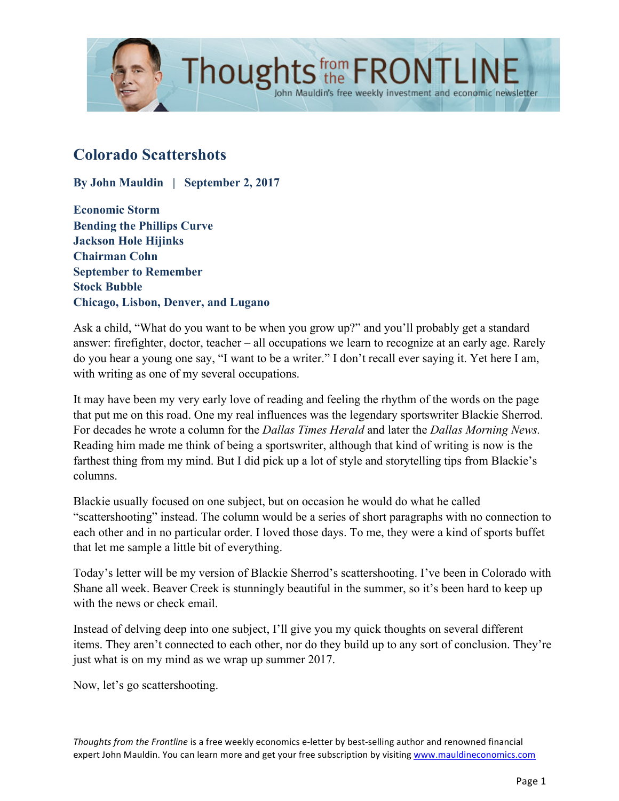

# **Colorado Scattershots**

**By John Mauldin | September 2, 2017**

**Economic Storm Bending the Phillips Curve Jackson Hole Hijinks Chairman Cohn September to Remember Stock Bubble Chicago, Lisbon, Denver, and Lugano**

Ask a child, "What do you want to be when you grow up?" and you'll probably get a standard answer: firefighter, doctor, teacher – all occupations we learn to recognize at an early age. Rarely do you hear a young one say, "I want to be a writer." I don't recall ever saying it. Yet here I am, with writing as one of my several occupations.

John Mauldin's free weekly investment and economic newsletter

It may have been my very early love of reading and feeling the rhythm of the words on the page that put me on this road. One my real influences was the legendary sportswriter Blackie Sherrod. For decades he wrote a column for the *Dallas Times Herald* and later the *Dallas Morning News.* Reading him made me think of being a sportswriter, although that kind of writing is now is the farthest thing from my mind. But I did pick up a lot of style and storytelling tips from Blackie's columns.

Blackie usually focused on one subject, but on occasion he would do what he called "scattershooting" instead. The column would be a series of short paragraphs with no connection to each other and in no particular order. I loved those days. To me, they were a kind of sports buffet that let me sample a little bit of everything.

Today's letter will be my version of Blackie Sherrod's scattershooting. I've been in Colorado with Shane all week. Beaver Creek is stunningly beautiful in the summer, so it's been hard to keep up with the news or check email.

Instead of delving deep into one subject, I'll give you my quick thoughts on several different items. They aren't connected to each other, nor do they build up to any sort of conclusion. They're just what is on my mind as we wrap up summer 2017.

Now, let's go scattershooting.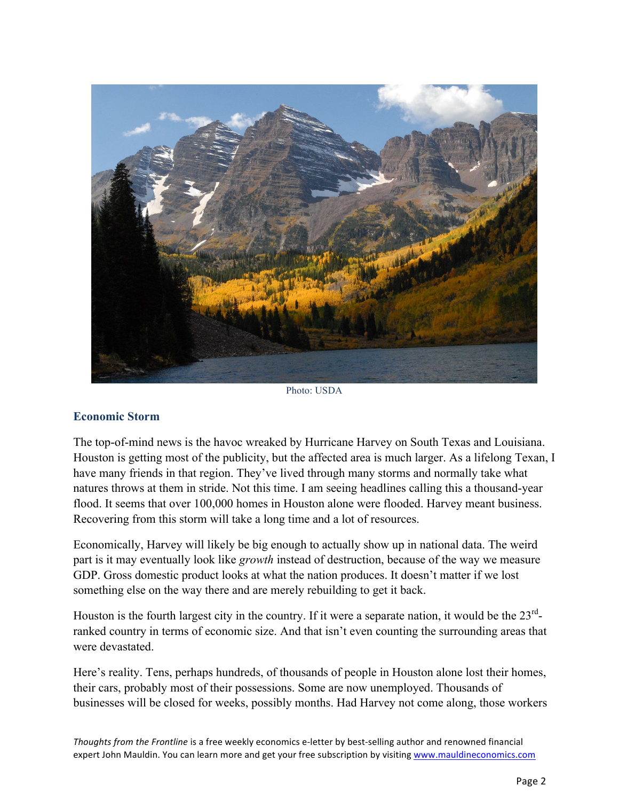

Photo: USDA

#### **Economic Storm**

The top-of-mind news is the havoc wreaked by Hurricane Harvey on South Texas and Louisiana. Houston is getting most of the publicity, but the affected area is much larger. As a lifelong Texan, I have many friends in that region. They've lived through many storms and normally take what natures throws at them in stride. Not this time. I am seeing headlines calling this a thousand-year flood. It seems that over 100,000 homes in Houston alone were flooded. Harvey meant business. Recovering from this storm will take a long time and a lot of resources.

Economically, Harvey will likely be big enough to actually show up in national data. The weird part is it may eventually look like *growth* instead of destruction, because of the way we measure GDP. Gross domestic product looks at what the nation produces. It doesn't matter if we lost something else on the way there and are merely rebuilding to get it back.

Houston is the fourth largest city in the country. If it were a separate nation, it would be the  $23<sup>rd</sup>$ ranked country in terms of economic size. And that isn't even counting the surrounding areas that were devastated.

Here's reality. Tens, perhaps hundreds, of thousands of people in Houston alone lost their homes, their cars, probably most of their possessions. Some are now unemployed. Thousands of businesses will be closed for weeks, possibly months. Had Harvey not come along, those workers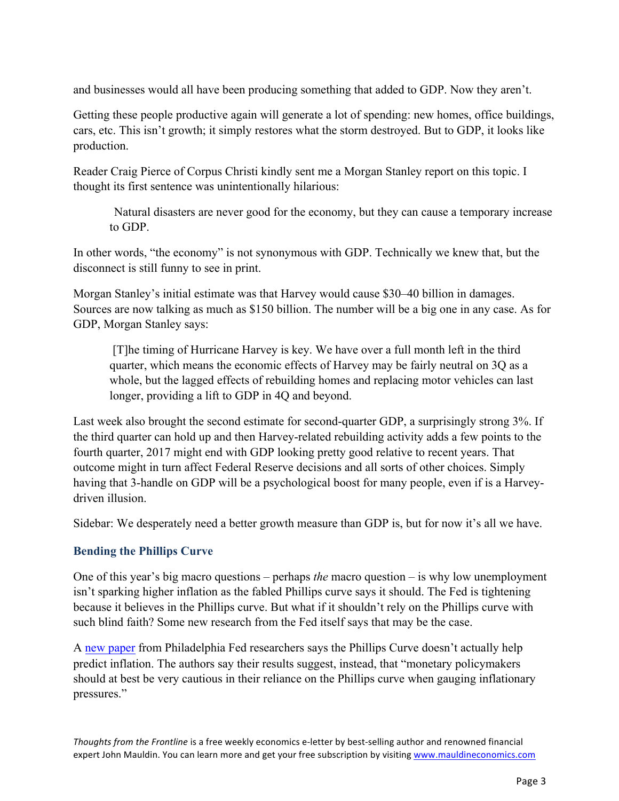and businesses would all have been producing something that added to GDP. Now they aren't.

Getting these people productive again will generate a lot of spending: new homes, office buildings, cars, etc. This isn't growth; it simply restores what the storm destroyed. But to GDP, it looks like production.

Reader Craig Pierce of Corpus Christi kindly sent me a Morgan Stanley report on this topic. I thought its first sentence was unintentionally hilarious:

Natural disasters are never good for the economy, but they can cause a temporary increase to GDP.

In other words, "the economy" is not synonymous with GDP. Technically we knew that, but the disconnect is still funny to see in print.

Morgan Stanley's initial estimate was that Harvey would cause \$30–40 billion in damages. Sources are now talking as much as \$150 billion. The number will be a big one in any case. As for GDP, Morgan Stanley says:

[T]he timing of Hurricane Harvey is key. We have over a full month left in the third quarter, which means the economic effects of Harvey may be fairly neutral on 3Q as a whole, but the lagged effects of rebuilding homes and replacing motor vehicles can last longer, providing a lift to GDP in 4Q and beyond.

Last week also brought the second estimate for second-quarter GDP, a surprisingly strong 3%. If the third quarter can hold up and then Harvey-related rebuilding activity adds a few points to the fourth quarter, 2017 might end with GDP looking pretty good relative to recent years. That outcome might in turn affect Federal Reserve decisions and all sorts of other choices. Simply having that 3-handle on GDP will be a psychological boost for many people, even if is a Harveydriven illusion.

Sidebar: We desperately need a better growth measure than GDP is, but for now it's all we have.

#### **Bending the Phillips Curve**

One of this year's big macro questions – perhaps *the* macro question – is why low unemployment isn't sparking higher inflation as the fabled Phillips curve says it should. The Fed is tightening because it believes in the Phillips curve. But what if it shouldn't rely on the Phillips curve with such blind faith? Some new research from the Fed itself says that may be the case.

[A new paper](https://www.philadelphiafed.org/-/media/research-and-data/publications/working-papers/2017/wp17-26.pdf) from Philadelphia Fed researchers says the Phillips Curve doesn't actually help predict inflation. The authors say their results suggest, instead, that "monetary policymakers should at best be very cautious in their reliance on the Phillips curve when gauging inflationary pressures."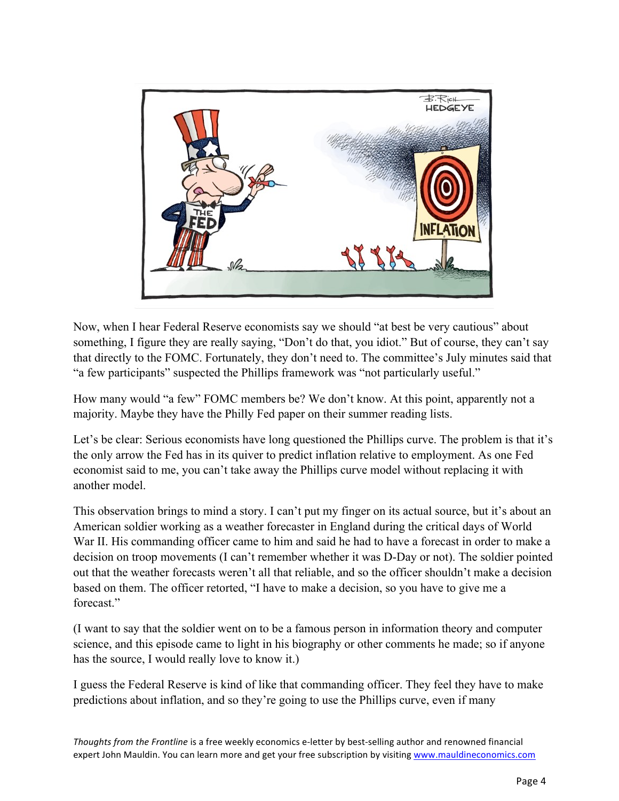

Now, when I hear Federal Reserve economists say we should "at best be very cautious" about something, I figure they are really saying, "Don't do that, you idiot." But of course, they can't say that directly to the FOMC. Fortunately, they don't need to. The committee's July minutes said that "a few participants" suspected the Phillips framework was "not particularly useful."

How many would "a few" FOMC members be? We don't know. At this point, apparently not a majority. Maybe they have the Philly Fed paper on their summer reading lists.

Let's be clear: Serious economists have long questioned the Phillips curve. The problem is that it's the only arrow the Fed has in its quiver to predict inflation relative to employment. As one Fed economist said to me, you can't take away the Phillips curve model without replacing it with another model.

This observation brings to mind a story. I can't put my finger on its actual source, but it's about an American soldier working as a weather forecaster in England during the critical days of World War II. His commanding officer came to him and said he had to have a forecast in order to make a decision on troop movements (I can't remember whether it was D-Day or not). The soldier pointed out that the weather forecasts weren't all that reliable, and so the officer shouldn't make a decision based on them. The officer retorted, "I have to make a decision, so you have to give me a forecast."

(I want to say that the soldier went on to be a famous person in information theory and computer science, and this episode came to light in his biography or other comments he made; so if anyone has the source, I would really love to know it.)

I guess the Federal Reserve is kind of like that commanding officer. They feel they have to make predictions about inflation, and so they're going to use the Phillips curve, even if many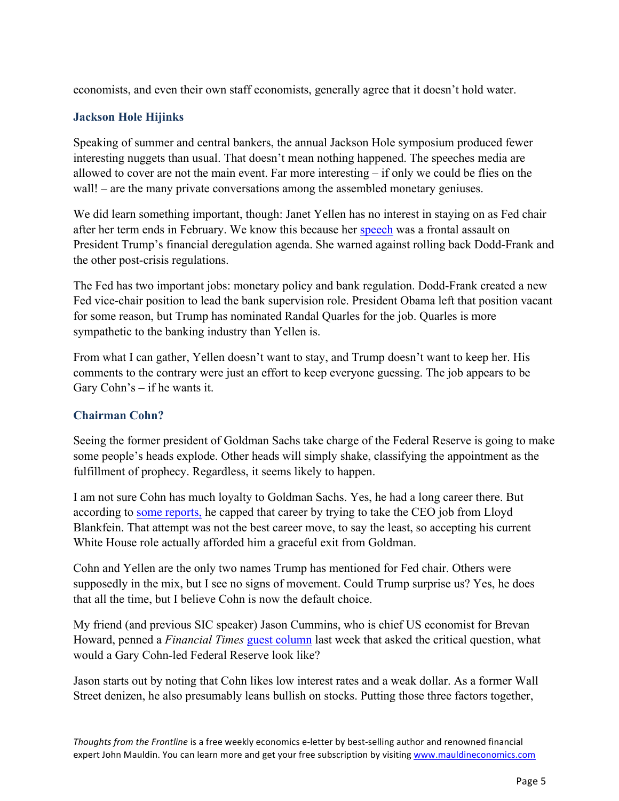economists, and even their own staff economists, generally agree that it doesn't hold water.

### **Jackson Hole Hijinks**

Speaking of summer and central bankers, the annual Jackson Hole symposium produced fewer interesting nuggets than usual. That doesn't mean nothing happened. The speeches media are allowed to cover are not the main event. Far more interesting – if only we could be flies on the wall! – are the many private conversations among the assembled monetary geniuses.

We did learn something important, though: Janet Yellen has no interest in staying on as Fed chair after her term ends in February. We know this because her [speech](https://www.federalreserve.gov/newsevents/speech/yellen20170825a.htm) was a frontal assault on President Trump's financial deregulation agenda. She warned against rolling back Dodd-Frank and the other post-crisis regulations.

The Fed has two important jobs: monetary policy and bank regulation. Dodd-Frank created a new Fed vice-chair position to lead the bank supervision role. President Obama left that position vacant for some reason, but Trump has nominated Randal Quarles for the job. Quarles is more sympathetic to the banking industry than Yellen is.

From what I can gather, Yellen doesn't want to stay, and Trump doesn't want to keep her. His comments to the contrary were just an effort to keep everyone guessing. The job appears to be Gary Cohn's – if he wants it.

# **Chairman Cohn?**

Seeing the former president of Goldman Sachs take charge of the Federal Reserve is going to make some people's heads explode. Other heads will simply shake, classifying the appointment as the fulfillment of prophecy. Regardless, it seems likely to happen.

I am not sure Cohn has much loyalty to Goldman Sachs. Yes, he had a long career there. But according t[o some reports,](https://www.vanityfair.com/news/2017/06/the-untold-story-of-how-gary-cohn-donald-trump-goldman-sachs-alumni) he capped that career by trying to take the CEO job from Lloyd Blankfein. That attempt was not the best career move, to say the least, so accepting his current White House role actually afforded him a graceful exit from Goldman.

Cohn and Yellen are the only two names Trump has mentioned for Fed chair. Others were supposedly in the mix, but I see no signs of movement. Could Trump surprise us? Yes, he does that all the time, but I believe Cohn is now the default choice.

My friend (and previous SIC speaker) Jason Cummins, who is chief US economist for Brevan Howard, penned a *Financial Times* [guest column](https://www.ft.com/content/bd82499e-89b0-11e7-afd2-74b8ecd34d3b) last week that asked the critical question, what would a Gary Cohn-led Federal Reserve look like?

Jason starts out by noting that Cohn likes low interest rates and a weak dollar. As a former Wall Street denizen, he also presumably leans bullish on stocks. Putting those three factors together,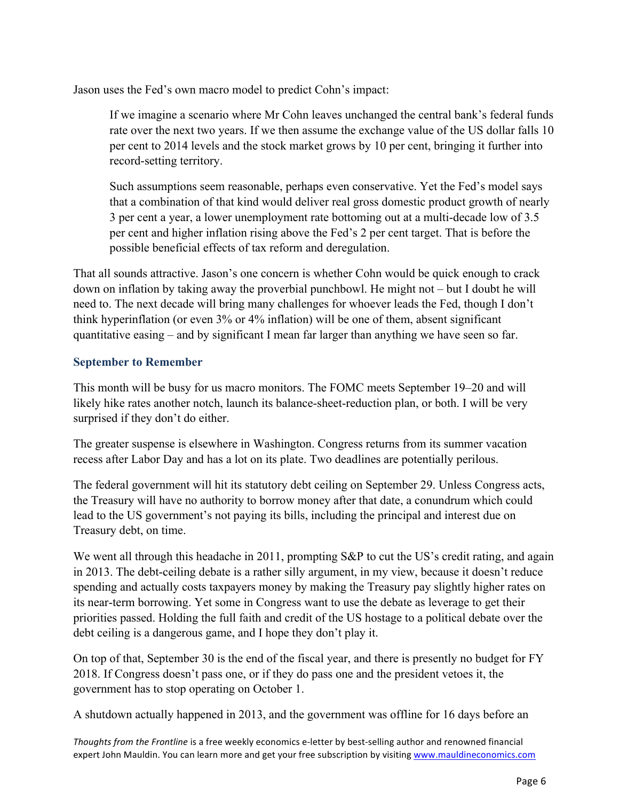Jason uses the Fed's own macro model to predict Cohn's impact:

If we imagine a scenario where Mr Cohn leaves unchanged the central bank's federal funds rate over the next two years. If we then assume the exchange value of the US dollar falls 10 per cent to 2014 levels and the stock market grows by 10 per cent, bringing it further into record-setting territory.

Such assumptions seem reasonable, perhaps even conservative. Yet the Fed's model says that a combination of that kind would deliver real gross domestic product growth of nearly 3 per cent a year, a lower unemployment rate bottoming out at a multi-decade low of 3.5 per cent and higher inflation rising above the Fed's 2 per cent target. That is before the possible beneficial effects of tax reform and deregulation.

That all sounds attractive. Jason's one concern is whether Cohn would be quick enough to crack down on inflation by taking away the proverbial punchbowl. He might not – but I doubt he will need to. The next decade will bring many challenges for whoever leads the Fed, though I don't think hyperinflation (or even 3% or 4% inflation) will be one of them, absent significant quantitative easing – and by significant I mean far larger than anything we have seen so far.

# **September to Remember**

This month will be busy for us macro monitors. The FOMC meets September 19–20 and will likely hike rates another notch, launch its balance-sheet-reduction plan, or both. I will be very surprised if they don't do either.

The greater suspense is elsewhere in Washington. Congress returns from its summer vacation recess after Labor Day and has a lot on its plate. Two deadlines are potentially perilous.

The federal government will hit its statutory debt ceiling on September 29. Unless Congress acts, the Treasury will have no authority to borrow money after that date, a conundrum which could lead to the US government's not paying its bills, including the principal and interest due on Treasury debt, on time.

We went all through this headache in 2011, prompting S&P to cut the US's credit rating, and again in 2013. The debt-ceiling debate is a rather silly argument, in my view, because it doesn't reduce spending and actually costs taxpayers money by making the Treasury pay slightly higher rates on its near-term borrowing. Yet some in Congress want to use the debate as leverage to get their priorities passed. Holding the full faith and credit of the US hostage to a political debate over the debt ceiling is a dangerous game, and I hope they don't play it.

On top of that, September 30 is the end of the fiscal year, and there is presently no budget for FY 2018. If Congress doesn't pass one, or if they do pass one and the president vetoes it, the government has to stop operating on October 1.

A shutdown actually happened in 2013, and the government was offline for 16 days before an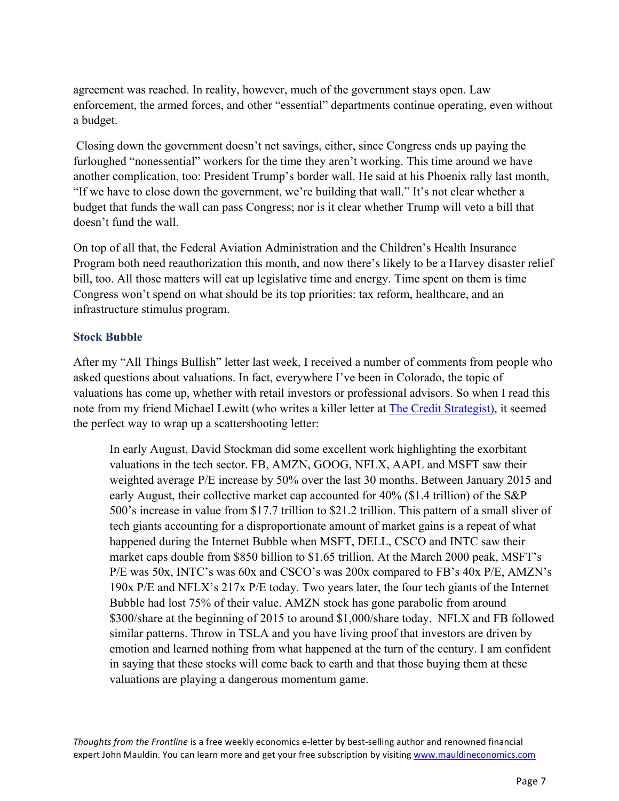agreement was reached. In reality, however, much of the government stays open. Law enforcement, the armed forces, and other "essential" departments continue operating, even without a budget.

Closing down the government doesn't net savings, either, since Congress ends up paying the furloughed "nonessential" workers for the time they aren't working. This time around we have another complication, too: President Trump's border wall. He said at his Phoenix rally last month, "If we have to close down the government, we're building that wall." It's not clear whether a budget that funds the wall can pass Congress; nor is it clear whether Trump will veto a bill that doesn't fund the wall.

On top of all that, the Federal Aviation Administration and the Children's Health Insurance Program both need reauthorization this month, and now there's likely to be a Harvey disaster relief bill, too. All those matters will eat up legislative time and energy. Time spent on them is time Congress won't spend on what should be its top priorities: tax reform, healthcare, and an infrastructure stimulus program.

#### **Stock Bubble**

After my "All Things Bullish" letter last week, I received a number of comments from people who asked questions about valuations. In fact, everywhere I've been in Colorado, the topic of valuations has come up, whether with retail investors or professional advisors. So when I read this note from my friend Michael Lewitt (who writes a killer letter at [The Credit Strategist\),](https://thecreditstrategist.com/) it seemed the perfect way to wrap up a scattershooting letter:

In early August, David Stockman did some excellent work highlighting the exorbitant valuations in the tech sector. FB, AMZN, GOOG, NFLX, AAPL and MSFT saw their weighted average P/E increase by 50% over the last 30 months. Between January 2015 and early August, their collective market cap accounted for 40% (\$1.4 trillion) of the S&P 500's increase in value from \$17.7 trillion to \$21.2 trillion. This pattern of a small sliver of tech giants accounting for a disproportionate amount of market gains is a repeat of what happened during the Internet Bubble when MSFT, DELL, CSCO and INTC saw their market caps double from \$850 billion to \$1.65 trillion. At the March 2000 peak, MSFT's P/E was 50x, INTC's was 60x and CSCO's was 200x compared to FB's 40x P/E, AMZN's 190x P/E and NFLX's 217x P/E today. Two years later, the four tech giants of the Internet Bubble had lost 75% of their value. AMZN stock has gone parabolic from around \$300/share at the beginning of 2015 to around \$1,000/share today. NFLX and FB followed similar patterns. Throw in TSLA and you have living proof that investors are driven by emotion and learned nothing from what happened at the turn of the century. I am confident in saying that these stocks will come back to earth and that those buying them at these valuations are playing a dangerous momentum game.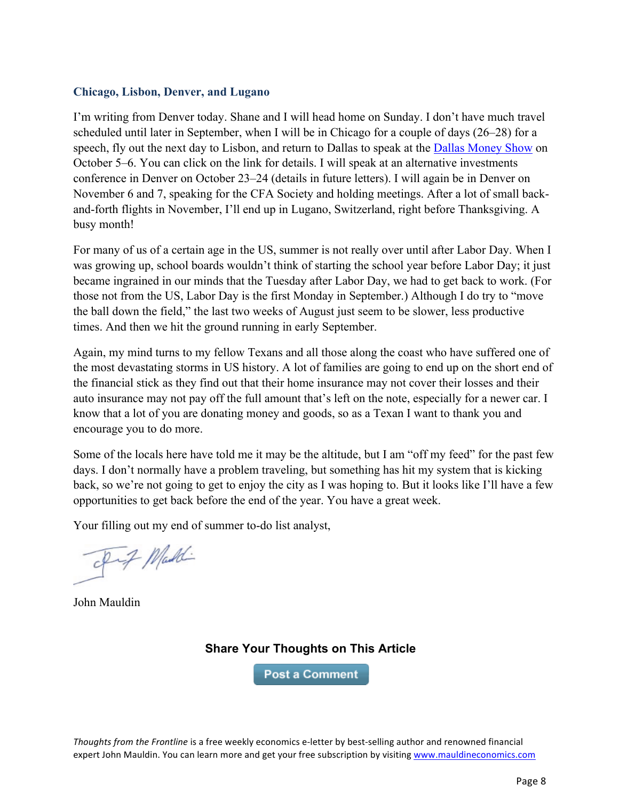#### **Chicago, Lisbon, Denver, and Lugano**

I'm writing from Denver today. Shane and I will head home on Sunday. I don't have much travel scheduled until later in September, when I will be in Chicago for a couple of days (26–28) for a speech, fly out the next day to Lisbon, and return to Dallas to speak at the [Dallas Money Show](https://www.moneyshow.com/events/conferences/the-moneyshow/moneyshow-dallas/speakers/1610spk/john-mauldin/?scode=043351) on October 5–6. You can click on the link for details. I will speak at an alternative investments conference in Denver on October 23–24 (details in future letters). I will again be in Denver on November 6 and 7, speaking for the CFA Society and holding meetings. After a lot of small backand-forth flights in November, I'll end up in Lugano, Switzerland, right before Thanksgiving. A busy month!

For many of us of a certain age in the US, summer is not really over until after Labor Day. When I was growing up, school boards wouldn't think of starting the school year before Labor Day; it just became ingrained in our minds that the Tuesday after Labor Day, we had to get back to work. (For those not from the US, Labor Day is the first Monday in September.) Although I do try to "move the ball down the field," the last two weeks of August just seem to be slower, less productive times. And then we hit the ground running in early September.

Again, my mind turns to my fellow Texans and all those along the coast who have suffered one of the most devastating storms in US history. A lot of families are going to end up on the short end of the financial stick as they find out that their home insurance may not cover their losses and their auto insurance may not pay off the full amount that's left on the note, especially for a newer car. I know that a lot of you are donating money and goods, so as a Texan I want to thank you and encourage you to do more.

Some of the locals here have told me it may be the altitude, but I am "off my feed" for the past few days. I don't normally have a problem traveling, but something has hit my system that is kicking back, so we're not going to get to enjoy the city as I was hoping to. But it looks like I'll have a few opportunities to get back before the end of the year. You have a great week.

Your filling out my end of summer to-do list analyst,

pig Maddi

John Mauldin

# **Share Your Thoughts on This Article**

**Post a Comment**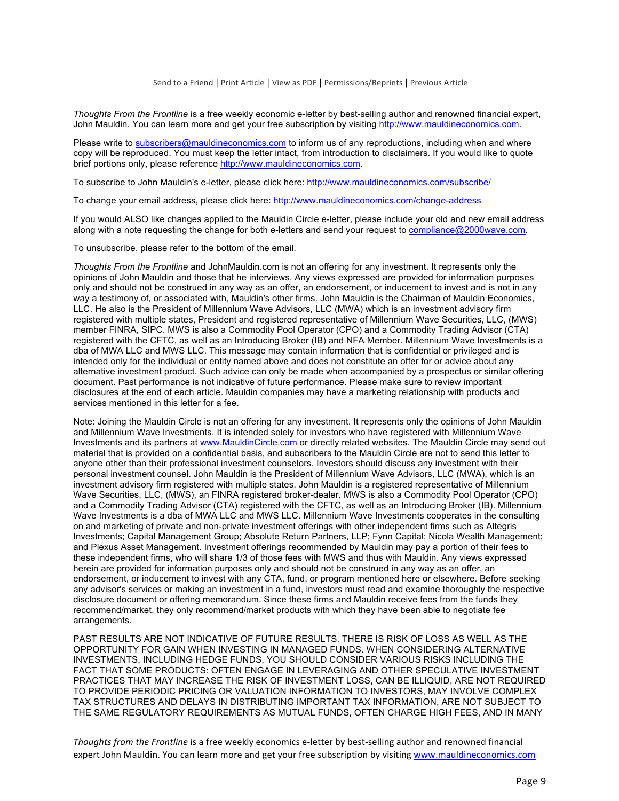#### Send to a Friend | Print Article | View as PDF | Permissions/Reprints | Previous Article

*Thoughts From the Frontline* is a free weekly economic e-letter by best-selling author and renowned financial expert, John Mauldin. You can learn more and get your free subscription by visiting http://www.mauldineconomics.com.

Please write to subscribers@mauldineconomics.com to inform us of any reproductions, including when and where copy will be reproduced. You must keep the letter intact, from introduction to disclaimers. If you would like to quote brief portions only, please reference http://www.mauldineconomics.com.

To subscribe to John Mauldin's e-letter, please click here: http://www.mauldineconomics.com/subscribe/

To change your email address, please click here: http://www.mauldineconomics.com/change-address

If you would ALSO like changes applied to the Mauldin Circle e-letter, please include your old and new email address along with a note requesting the change for both e-letters and send your request to compliance@2000wave.com.

To unsubscribe, please refer to the bottom of the email.

*Thoughts From the Frontline* and JohnMauldin.com is not an offering for any investment. It represents only the opinions of John Mauldin and those that he interviews. Any views expressed are provided for information purposes only and should not be construed in any way as an offer, an endorsement, or inducement to invest and is not in any way a testimony of, or associated with, Mauldin's other firms. John Mauldin is the Chairman of Mauldin Economics, LLC. He also is the President of Millennium Wave Advisors, LLC (MWA) which is an investment advisory firm registered with multiple states, President and registered representative of Millennium Wave Securities, LLC, (MWS) member FINRA, SIPC. MWS is also a Commodity Pool Operator (CPO) and a Commodity Trading Advisor (CTA) registered with the CFTC, as well as an Introducing Broker (IB) and NFA Member. Millennium Wave Investments is a dba of MWA LLC and MWS LLC. This message may contain information that is confidential or privileged and is intended only for the individual or entity named above and does not constitute an offer for or advice about any alternative investment product. Such advice can only be made when accompanied by a prospectus or similar offering document. Past performance is not indicative of future performance. Please make sure to review important disclosures at the end of each article. Mauldin companies may have a marketing relationship with products and services mentioned in this letter for a fee.

Note: Joining the Mauldin Circle is not an offering for any investment. It represents only the opinions of John Mauldin and Millennium Wave Investments. It is intended solely for investors who have registered with Millennium Wave Investments and its partners at www.MauldinCircle.com or directly related websites. The Mauldin Circle may send out material that is provided on a confidential basis, and subscribers to the Mauldin Circle are not to send this letter to anyone other than their professional investment counselors. Investors should discuss any investment with their personal investment counsel. John Mauldin is the President of Millennium Wave Advisors, LLC (MWA), which is an investment advisory firm registered with multiple states. John Mauldin is a registered representative of Millennium Wave Securities, LLC, (MWS), an FINRA registered broker-dealer. MWS is also a Commodity Pool Operator (CPO) and a Commodity Trading Advisor (CTA) registered with the CFTC, as well as an Introducing Broker (IB). Millennium Wave Investments is a dba of MWA LLC and MWS LLC. Millennium Wave Investments cooperates in the consulting on and marketing of private and non-private investment offerings with other independent firms such as Altegris Investments; Capital Management Group; Absolute Return Partners, LLP; Fynn Capital; Nicola Wealth Management; and Plexus Asset Management. Investment offerings recommended by Mauldin may pay a portion of their fees to these independent firms, who will share 1/3 of those fees with MWS and thus with Mauldin. Any views expressed herein are provided for information purposes only and should not be construed in any way as an offer, an endorsement, or inducement to invest with any CTA, fund, or program mentioned here or elsewhere. Before seeking any advisor's services or making an investment in a fund, investors must read and examine thoroughly the respective disclosure document or offering memorandum. Since these firms and Mauldin receive fees from the funds they recommend/market, they only recommend/market products with which they have been able to negotiate fee arrangements.

PAST RESULTS ARE NOT INDICATIVE OF FUTURE RESULTS. THERE IS RISK OF LOSS AS WELL AS THE OPPORTUNITY FOR GAIN WHEN INVESTING IN MANAGED FUNDS. WHEN CONSIDERING ALTERNATIVE INVESTMENTS, INCLUDING HEDGE FUNDS, YOU SHOULD CONSIDER VARIOUS RISKS INCLUDING THE FACT THAT SOME PRODUCTS: OFTEN ENGAGE IN LEVERAGING AND OTHER SPECULATIVE INVESTMENT PRACTICES THAT MAY INCREASE THE RISK OF INVESTMENT LOSS, CAN BE ILLIQUID, ARE NOT REQUIRED TO PROVIDE PERIODIC PRICING OR VALUATION INFORMATION TO INVESTORS, MAY INVOLVE COMPLEX TAX STRUCTURES AND DELAYS IN DISTRIBUTING IMPORTANT TAX INFORMATION, ARE NOT SUBJECT TO THE SAME REGULATORY REQUIREMENTS AS MUTUAL FUNDS, OFTEN CHARGE HIGH FEES, AND IN MANY